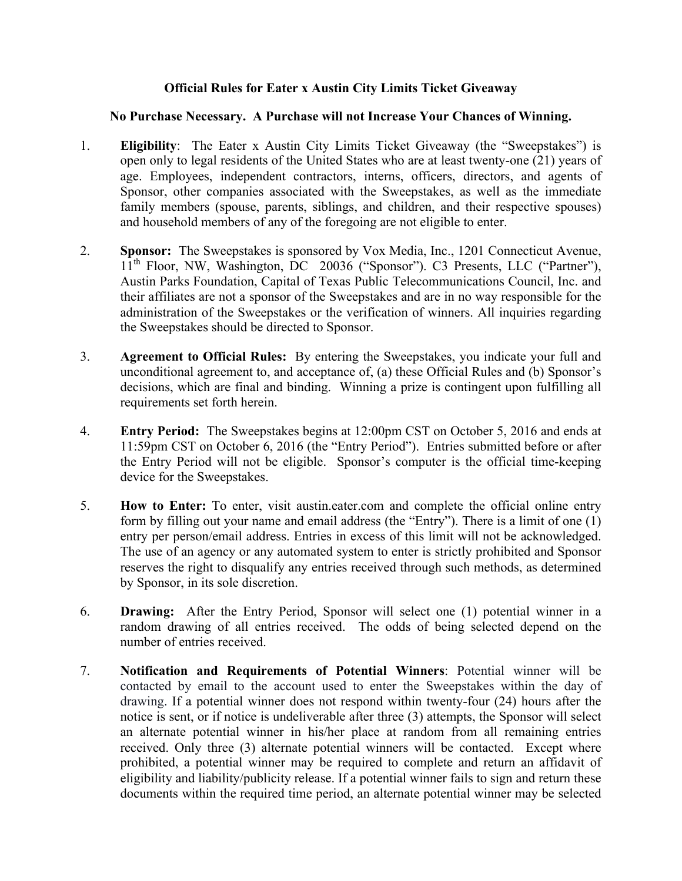## **Official Rules for Eater x Austin City Limits Ticket Giveaway**

## **No Purchase Necessary. A Purchase will not Increase Your Chances of Winning.**

- 1. **Eligibility**: The Eater x Austin City Limits Ticket Giveaway (the "Sweepstakes") is open only to legal residents of the United States who are at least twenty-one (21) years of age. Employees, independent contractors, interns, officers, directors, and agents of Sponsor, other companies associated with the Sweepstakes, as well as the immediate family members (spouse, parents, siblings, and children, and their respective spouses) and household members of any of the foregoing are not eligible to enter.
- 2. **Sponsor:** The Sweepstakes is sponsored by Vox Media, Inc., 1201 Connecticut Avenue, 11<sup>th</sup> Floor, NW, Washington, DC 20036 ("Sponsor"). C3 Presents, LLC ("Partner"), Austin Parks Foundation, Capital of Texas Public Telecommunications Council, Inc. and their affiliates are not a sponsor of the Sweepstakes and are in no way responsible for the administration of the Sweepstakes or the verification of winners. All inquiries regarding the Sweepstakes should be directed to Sponsor.
- 3. **Agreement to Official Rules:** By entering the Sweepstakes, you indicate your full and unconditional agreement to, and acceptance of, (a) these Official Rules and (b) Sponsor's decisions, which are final and binding. Winning a prize is contingent upon fulfilling all requirements set forth herein.
- 4. **Entry Period:** The Sweepstakes begins at 12:00pm CST on October 5, 2016 and ends at 11:59pm CST on October 6, 2016 (the "Entry Period"). Entries submitted before or after the Entry Period will not be eligible. Sponsor's computer is the official time-keeping device for the Sweepstakes.
- 5. **How to Enter:** To enter, visit austin.eater.com and complete the official online entry form by filling out your name and email address (the "Entry"). There is a limit of one (1) entry per person/email address. Entries in excess of this limit will not be acknowledged. The use of an agency or any automated system to enter is strictly prohibited and Sponsor reserves the right to disqualify any entries received through such methods, as determined by Sponsor, in its sole discretion.
- 6. **Drawing:** After the Entry Period, Sponsor will select one (1) potential winner in a random drawing of all entries received. The odds of being selected depend on the number of entries received.
- 7. **Notification and Requirements of Potential Winners**: Potential winner will be contacted by email to the account used to enter the Sweepstakes within the day of drawing. If a potential winner does not respond within twenty-four (24) hours after the notice is sent, or if notice is undeliverable after three (3) attempts, the Sponsor will select an alternate potential winner in his/her place at random from all remaining entries received. Only three (3) alternate potential winners will be contacted. Except where prohibited, a potential winner may be required to complete and return an affidavit of eligibility and liability/publicity release. If a potential winner fails to sign and return these documents within the required time period, an alternate potential winner may be selected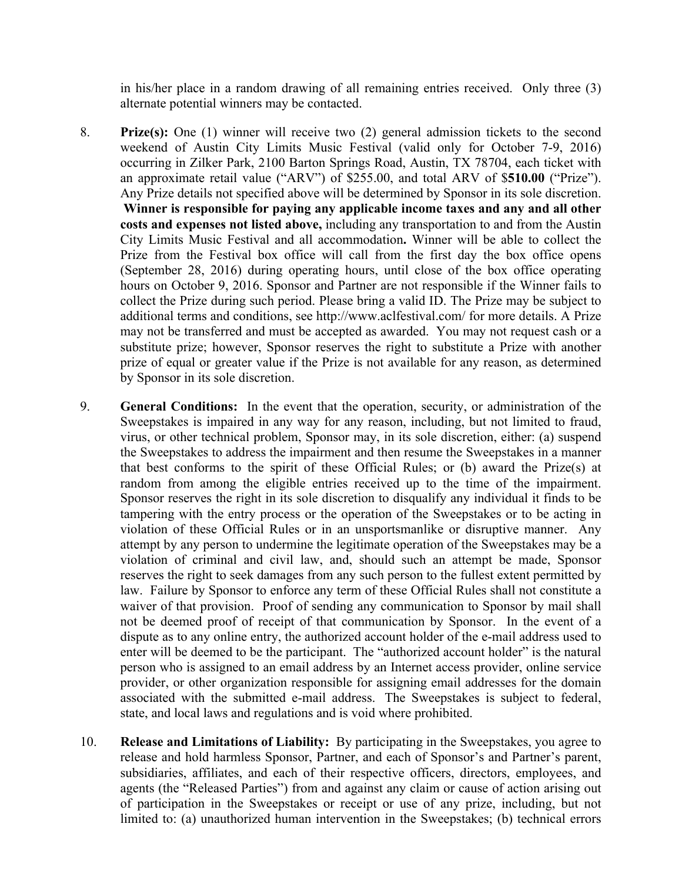in his/her place in a random drawing of all remaining entries received. Only three (3) alternate potential winners may be contacted.

- 8. **Prize(s):** One (1) winner will receive two (2) general admission tickets to the second weekend of Austin City Limits Music Festival (valid only for October 7-9, 2016) occurring in Zilker Park, 2100 Barton Springs Road, Austin, TX 78704, each ticket with an approximate retail value ("ARV") of \$255.00, and total ARV of \$**510.00** ("Prize"). Any Prize details not specified above will be determined by Sponsor in its sole discretion. **Winner is responsible for paying any applicable income taxes and any and all other costs and expenses not listed above,** including any transportation to and from the Austin City Limits Music Festival and all accommodation**.** Winner will be able to collect the Prize from the Festival box office will call from the first day the box office opens (September 28, 2016) during operating hours, until close of the box office operating hours on October 9, 2016. Sponsor and Partner are not responsible if the Winner fails to collect the Prize during such period. Please bring a valid ID. The Prize may be subject to additional terms and conditions, see http://www.aclfestival.com/ for more details. A Prize may not be transferred and must be accepted as awarded. You may not request cash or a substitute prize; however, Sponsor reserves the right to substitute a Prize with another prize of equal or greater value if the Prize is not available for any reason, as determined by Sponsor in its sole discretion.
- 9. **General Conditions:** In the event that the operation, security, or administration of the Sweepstakes is impaired in any way for any reason, including, but not limited to fraud, virus, or other technical problem, Sponsor may, in its sole discretion, either: (a) suspend the Sweepstakes to address the impairment and then resume the Sweepstakes in a manner that best conforms to the spirit of these Official Rules; or (b) award the Prize(s) at random from among the eligible entries received up to the time of the impairment. Sponsor reserves the right in its sole discretion to disqualify any individual it finds to be tampering with the entry process or the operation of the Sweepstakes or to be acting in violation of these Official Rules or in an unsportsmanlike or disruptive manner. Any attempt by any person to undermine the legitimate operation of the Sweepstakes may be a violation of criminal and civil law, and, should such an attempt be made, Sponsor reserves the right to seek damages from any such person to the fullest extent permitted by law. Failure by Sponsor to enforce any term of these Official Rules shall not constitute a waiver of that provision. Proof of sending any communication to Sponsor by mail shall not be deemed proof of receipt of that communication by Sponsor. In the event of a dispute as to any online entry, the authorized account holder of the e-mail address used to enter will be deemed to be the participant. The "authorized account holder" is the natural person who is assigned to an email address by an Internet access provider, online service provider, or other organization responsible for assigning email addresses for the domain associated with the submitted e-mail address. The Sweepstakes is subject to federal, state, and local laws and regulations and is void where prohibited.
- 10. **Release and Limitations of Liability:** By participating in the Sweepstakes, you agree to release and hold harmless Sponsor, Partner, and each of Sponsor's and Partner's parent, subsidiaries, affiliates, and each of their respective officers, directors, employees, and agents (the "Released Parties") from and against any claim or cause of action arising out of participation in the Sweepstakes or receipt or use of any prize, including, but not limited to: (a) unauthorized human intervention in the Sweepstakes; (b) technical errors